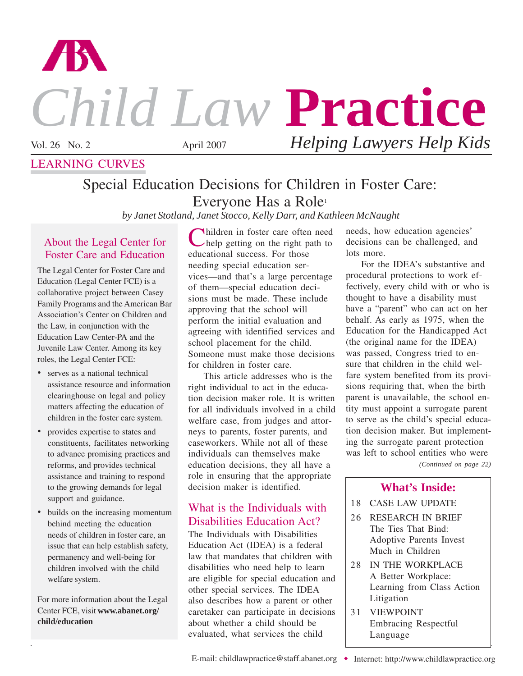

# *Child Law* **Practice**

LEARNING CURVES

Vol. 26 No. 2 April 2007 *Helping Lawyers Help Kids*

## Special Education Decisions for Children in Foster Care: Everyone Has a Role1

*by Janet Stotland, Janet Stocco, Kelly Darr, and Kathleen McNaught*

#### About the Legal Center for Foster Care and Education

The Legal Center for Foster Care and Education (Legal Center FCE) is a collaborative project between Casey Family Programs and the American Bar Association's Center on Children and the Law, in conjunction with the Education Law Center-PA and the Juvenile Law Center. Among its key roles, the Legal Center FCE:

- serves as a national technical assistance resource and information clearinghouse on legal and policy matters affecting the education of children in the foster care system.
- provides expertise to states and constituents, facilitates networking to advance promising practices and reforms, and provides technical assistance and training to respond to the growing demands for legal support and guidance.
- builds on the increasing momentum behind meeting the education needs of children in foster care, an issue that can help establish safety, permanency and well-being for children involved with the child welfare system.

For more information about the Legal Center FCE, visit **www.abanet.org/ child/education** 

Children in foster care often need help getting on the right path to educational success. For those needing special education services—and that's a large percentage of them—special education decisions must be made. These include approving that the school will perform the initial evaluation and agreeing with identified services and school placement for the child. Someone must make those decisions for children in foster care.

This article addresses who is the right individual to act in the education decision maker role. It is written for all individuals involved in a child welfare case, from judges and attorneys to parents, foster parents, and caseworkers. While not all of these individuals can themselves make education decisions, they all have a role in ensuring that the appropriate decision maker is identified.

## What is the Individuals with Disabilities Education Act?

The Individuals with Disabilities Education Act (IDEA) is a federal law that mandates that children with disabilities who need help to learn are eligible for special education and other special services. The IDEA also describes how a parent or other caretaker can participate in decisions about whether a child should be evaluated, what services the child

needs, how education agencies' decisions can be challenged, and lots more.

For the IDEA's substantive and procedural protections to work effectively, every child with or who is thought to have a disability must have a "parent" who can act on her behalf. As early as 1975, when the Education for the Handicapped Act (the original name for the IDEA) was passed, Congress tried to ensure that children in the child welfare system benefited from its provisions requiring that, when the birth parent is unavailable, the school entity must appoint a surrogate parent to serve as the child's special education decision maker. But implementing the surrogate parent protection was left to school entities who were

*(Continued on page 22)*

## **What's Inside:**

- 18 CASE LAW UPDATE
- 26 RESEARCH IN BRIEF The Ties That Bind: Adoptive Parents Invest Much in Children
- 28 IN THE WORKPLACE A Better Workplace: Learning from Class Action Litigation
- 31 VIEWPOINT Embracing Respectful Language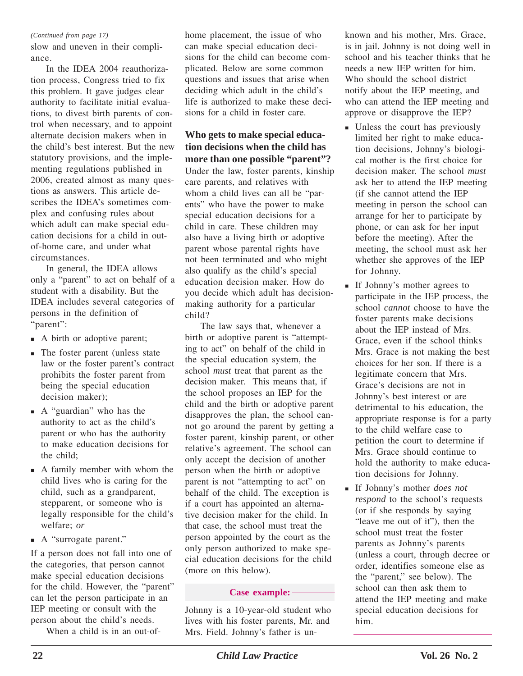#### *(Continued from page 17)*

slow and uneven in their compliance.

In the IDEA 2004 reauthorization process, Congress tried to fix this problem. It gave judges clear authority to facilitate initial evaluations, to divest birth parents of control when necessary, and to appoint alternate decision makers when in the child's best interest. But the new statutory provisions, and the implementing regulations published in 2006, created almost as many questions as answers. This article describes the IDEA's sometimes complex and confusing rules about which adult can make special education decisions for a child in outof-home care, and under what circumstances.

In general, the IDEA allows only a "parent" to act on behalf of a student with a disability. But the IDEA includes several categories of persons in the definition of "parent":

- A birth or adoptive parent;
- The foster parent (unless state law or the foster parent's contract prohibits the foster parent from being the special education decision maker);
- A "guardian" who has the authority to act as the child's parent or who has the authority to make education decisions for the child;
- A family member with whom the child lives who is caring for the child, such as a grandparent, stepparent, or someone who is legally responsible for the child's welfare; *or*
- A "surrogate parent."

If a person does not fall into one of the categories, that person cannot make special education decisions for the child. However, the "parent" can let the person participate in an IEP meeting or consult with the person about the child's needs.

When a child is in an out-of-

home placement, the issue of who can make special education decisions for the child can become complicated. Below are some common questions and issues that arise when deciding which adult in the child's life is authorized to make these decisions for a child in foster care.

**Who gets to make special education decisions when the child has more than one possible "parent"?** Under the law, foster parents, kinship care parents, and relatives with whom a child lives can all be "parents" who have the power to make special education decisions for a child in care. These children may also have a living birth or adoptive parent whose parental rights have not been terminated and who might also qualify as the child's special education decision maker. How do you decide which adult has decisionmaking authority for a particular child?

The law says that, whenever a birth or adoptive parent is "attempting to act" on behalf of the child in the special education system, the school *must* treat that parent as the decision maker. This means that, if the school proposes an IEP for the child and the birth or adoptive parent disapproves the plan, the school cannot go around the parent by getting a foster parent, kinship parent, or other relative's agreement. The school can only accept the decision of another person when the birth or adoptive parent is not "attempting to act" on behalf of the child. The exception is if a court has appointed an alternative decision maker for the child. In that case, the school must treat the person appointed by the court as the only person authorized to make special education decisions for the child (more on this below).

#### **Case example:**

Johnny is a 10-year-old student who lives with his foster parents, Mr. and Mrs. Field. Johnny's father is unknown and his mother, Mrs. Grace, is in jail. Johnny is not doing well in school and his teacher thinks that he needs a new IEP written for him. Who should the school district notify about the IEP meeting, and who can attend the IEP meeting and approve or disapprove the IEP?

- Unless the court has previously limited her right to make education decisions, Johnny's biological mother is the first choice for decision maker. The school *must* ask her to attend the IEP meeting (if she cannot attend the IEP meeting in person the school can arrange for her to participate by phone, or can ask for her input before the meeting). After the meeting, the school must ask her whether she approves of the IEP for Johnny.
- If Johnny's mother agrees to participate in the IEP process, the school *cannot* choose to have the foster parents make decisions about the IEP instead of Mrs. Grace, even if the school thinks Mrs. Grace is not making the best choices for her son. If there is a legitimate concern that Mrs. Grace's decisions are not in Johnny's best interest or are detrimental to his education, the appropriate response is for a party to the child welfare case to petition the court to determine if Mrs. Grace should continue to hold the authority to make education decisions for Johnny.
- If Johnny's mother *does not respond* to the school's requests (or if she responds by saying "leave me out of it"), then the school must treat the foster parents as Johnny's parents (unless a court, through decree or order, identifies someone else as the "parent," see below). The school can then ask them to attend the IEP meeting and make special education decisions for him.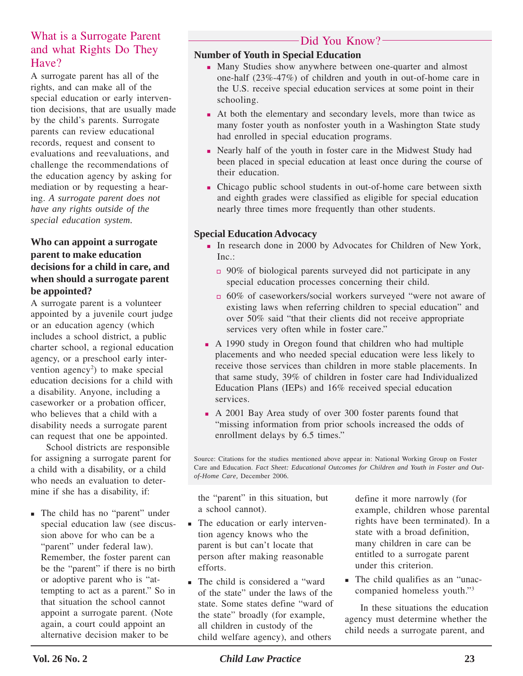## What is a Surrogate Parent and what Rights Do They Have?

A surrogate parent has all of the rights, and can make all of the special education or early intervention decisions, that are usually made by the child's parents. Surrogate parents can review educational records, request and consent to evaluations and reevaluations, and challenge the recommendations of the education agency by asking for mediation or by requesting a hearing. *A surrogate parent does not have any rights outside of the special education system.*

#### **Who can appoint a surrogate parent to make education decisions for a child in care, and when should a surrogate parent be appointed?**

A surrogate parent is a volunteer appointed by a juvenile court judge or an education agency (which includes a school district, a public charter school, a regional education agency, or a preschool early intervention agency<sup>2</sup>) to make special education decisions for a child with a disability. Anyone, including a caseworker or a probation officer, who believes that a child with a disability needs a surrogate parent can request that one be appointed.

School districts are responsible for assigning a surrogate parent for a child with a disability, or a child who needs an evaluation to determine if she has a disability, if:

 The child has no "parent" under special education law (see discussion above for who can be a "parent" under federal law). Remember, the foster parent can be the "parent" if there is no birth or adoptive parent who is "attempting to act as a parent." So in that situation the school cannot appoint a surrogate parent. (Note again, a court could appoint an alternative decision maker to be

## -Did You Know?-

#### **Number of Youth in Special Education**

- Many Studies show anywhere between one-quarter and almost one-half (23%-47%) of children and youth in out-of-home care in the U.S. receive special education services at some point in their schooling.
- At both the elementary and secondary levels, more than twice as many foster youth as nonfoster youth in a Washington State study had enrolled in special education programs.
- Nearly half of the youth in foster care in the Midwest Study had been placed in special education at least once during the course of their education.
- Chicago public school students in out-of-home care between sixth and eighth grades were classified as eligible for special education nearly three times more frequently than other students.

#### **Special Education Advocacy**

- In research done in 2000 by Advocates for Children of New York, Inc.:
	- 90% of biological parents surveyed did not participate in any special education processes concerning their child.
	- 60% of caseworkers/social workers surveyed "were not aware of existing laws when referring children to special education" and over 50% said "that their clients did not receive appropriate services very often while in foster care."
- A 1990 study in Oregon found that children who had multiple placements and who needed special education were less likely to receive those services than children in more stable placements. In that same study, 39% of children in foster care had Individualized Education Plans (IEPs) and 16% received special education services.
- A 2001 Bay Area study of over 300 foster parents found that "missing information from prior schools increased the odds of enrollment delays by 6.5 times."

Source: Citations for the studies mentioned above appear in: National Working Group on Foster Care and Education. *Fact Sheet: Educational Outcomes for Children and Youth in Foster and Outof-Home Care,* December 2006*.*

the "parent" in this situation, but a school cannot).

- The education or early intervention agency knows who the parent is but can't locate that person after making reasonable efforts.
- The child is considered a "ward" of the state" under the laws of the state. Some states define "ward of the state" broadly (for example, all children in custody of the child welfare agency), and others

define it more narrowly (for example, children whose parental rights have been terminated). In a state with a broad definition, many children in care can be entitled to a surrogate parent under this criterion.

 The child qualifies as an "unaccompanied homeless youth."3

In these situations the education agency must determine whether the child needs a surrogate parent, and

**Vol. 26 No. 2 Child Law Practice 23 23**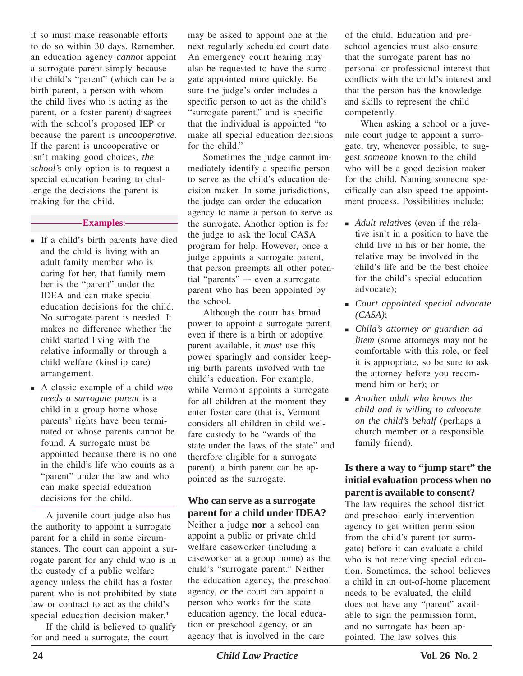if so must make reasonable efforts to do so within 30 days. Remember, an education agency *cannot* appoint a surrogate parent simply because the child's "parent" (which can be a birth parent, a person with whom the child lives who is acting as the parent, or a foster parent) disagrees with the school's proposed IEP or because the parent is *uncooperative*. If the parent is uncooperative or isn't making good choices, *the school's* only option is to request a special education hearing to challenge the decisions the parent is making for the child.

#### **Examples**:

- If a child's birth parents have died and the child is living with an adult family member who is caring for her, that family member is the "parent" under the IDEA and can make special education decisions for the child. No surrogate parent is needed. It makes no difference whether the child started living with the relative informally or through a child welfare (kinship care) arrangement.
- A classic example of a child *who needs a surrogate parent* is a child in a group home whose parents' rights have been terminated or whose parents cannot be found. A surrogate must be appointed because there is no one in the child's life who counts as a "parent" under the law and who can make special education decisions for the child.

A juvenile court judge also has the authority to appoint a surrogate parent for a child in some circumstances. The court can appoint a surrogate parent for any child who is in the custody of a public welfare agency unless the child has a foster parent who is not prohibited by state law or contract to act as the child's special education decision maker.<sup>4</sup>

If the child is believed to qualify for and need a surrogate, the court

may be asked to appoint one at the next regularly scheduled court date. An emergency court hearing may also be requested to have the surrogate appointed more quickly. Be sure the judge's order includes a specific person to act as the child's "surrogate parent," and is specific that the individual is appointed "to make all special education decisions for the child."

Sometimes the judge cannot immediately identify a specific person to serve as the child's education decision maker. In some jurisdictions, the judge can order the education agency to name a person to serve as the surrogate. Another option is for the judge to ask the local CASA program for help. However, once a judge appoints a surrogate parent, that person preempts all other potential "parents" –- even a surrogate parent who has been appointed by the school.

Although the court has broad power to appoint a surrogate parent even if there is a birth or adoptive parent available, it *must* use this power sparingly and consider keeping birth parents involved with the child's education. For example, while Vermont appoints a surrogate for all children at the moment they enter foster care (that is, Vermont considers all children in child welfare custody to be "wards of the state under the laws of the state" and therefore eligible for a surrogate parent), a birth parent can be appointed as the surrogate.

#### **Who can serve as a surrogate parent for a child under IDEA?**

Neither a judge **nor** a school can appoint a public or private child welfare caseworker (including a caseworker at a group home) as the child's "surrogate parent." Neither the education agency, the preschool agency, or the court can appoint a person who works for the state education agency, the local education or preschool agency, or an agency that is involved in the care

of the child. Education and preschool agencies must also ensure that the surrogate parent has no personal or professional interest that conflicts with the child's interest and that the person has the knowledge and skills to represent the child competently.

When asking a school or a juvenile court judge to appoint a surrogate, try, whenever possible, to suggest *someone* known to the child who will be a good decision maker for the child. Naming someone specifically can also speed the appointment process. Possibilities include:

- *Adult relatives* (even if the relative isn't in a position to have the child live in his or her home, the relative may be involved in the child's life and be the best choice for the child's special education advocate);
- *Court appointed special advocate (CASA)*;
- *Child's attorney or guardian ad litem* (some attorneys may not be comfortable with this role, or feel it is appropriate, so be sure to ask the attorney before you recommend him or her); or
- *Another adult who knows the child and is willing to advocate on the child's behalf* (perhaps a church member or a responsible family friend).

#### **Is there a way to "jump start" the initial evaluation process when no parent is available to consent?**

The law requires the school district and preschool early intervention agency to get written permission from the child's parent (or surrogate) before it can evaluate a child who is not receiving special education. Sometimes, the school believes a child in an out-of-home placement needs to be evaluated, the child does not have any "parent" available to sign the permission form, and no surrogate has been appointed. The law solves this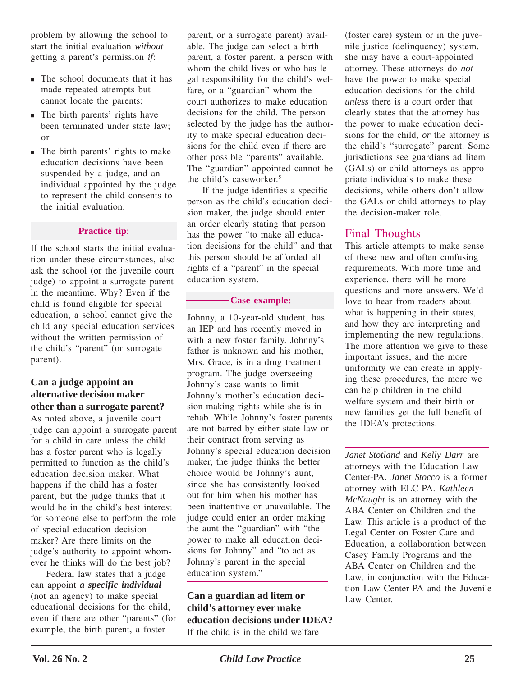problem by allowing the school to start the initial evaluation *without* getting a parent's permission *if*:

- The school documents that it has made repeated attempts but cannot locate the parents;
- The birth parents' rights have been terminated under state law; or
- The birth parents' rights to make education decisions have been suspended by a judge, and an individual appointed by the judge to represent the child consents to the initial evaluation.

#### **Practice tip**:

If the school starts the initial evaluation under these circumstances, also ask the school (or the juvenile court judge) to appoint a surrogate parent in the meantime. Why? Even if the child is found eligible for special education, a school cannot give the child any special education services without the written permission of the child's "parent" (or surrogate parent).

#### **Can a judge appoint an alternative decision maker other than a surrogate parent?**

As noted above, a juvenile court judge can appoint a surrogate parent for a child in care unless the child has a foster parent who is legally permitted to function as the child's education decision maker. What happens if the child has a foster parent, but the judge thinks that it would be in the child's best interest for someone else to perform the role of special education decision maker? Are there limits on the judge's authority to appoint whomever he thinks will do the best job?

Federal law states that a judge can appoint *a specific individual* (not an agency) to make special educational decisions for the child, even if there are other "parents" (for example, the birth parent, a foster

parent, or a surrogate parent) available. The judge can select a birth parent, a foster parent, a person with whom the child lives or who has legal responsibility for the child's welfare, or a "guardian" whom the court authorizes to make education decisions for the child. The person selected by the judge has the authority to make special education decisions for the child even if there are other possible "parents" available. The "guardian" appointed cannot be the child's caseworker.<sup>5</sup>

If the judge identifies a specific person as the child's education decision maker, the judge should enter an order clearly stating that person has the power "to make all education decisions for the child" and that this person should be afforded all rights of a "parent" in the special education system.

#### **Case example:**

Johnny, a 10-year-old student, has an IEP and has recently moved in with a new foster family. Johnny's father is unknown and his mother, Mrs. Grace, is in a drug treatment program. The judge overseeing Johnny's case wants to limit Johnny's mother's education decision-making rights while she is in rehab. While Johnny's foster parents are not barred by either state law or their contract from serving as Johnny's special education decision maker, the judge thinks the better choice would be Johnny's aunt, since she has consistently looked out for him when his mother has been inattentive or unavailable. The judge could enter an order making the aunt the "guardian" with "the power to make all education decisions for Johnny" and "to act as Johnny's parent in the special education system."

**Can a guardian ad litem or child's attorney ever make education decisions under IDEA?** If the child is in the child welfare

(foster care) system or in the juvenile justice (delinquency) system, she may have a court-appointed attorney. These attorneys do *not* have the power to make special education decisions for the child *unless* there is a court order that clearly states that the attorney has the power to make education decisions for the child, *or* the attorney is the child's "surrogate" parent. Some jurisdictions see guardians ad litem (GALs) or child attorneys as appropriate individuals to make these decisions, while others don't allow the GALs or child attorneys to play the decision-maker role.

### Final Thoughts

This article attempts to make sense of these new and often confusing requirements. With more time and experience, there will be more questions and more answers. We'd love to hear from readers about what is happening in their states, and how they are interpreting and implementing the new regulations. The more attention we give to these important issues, and the more uniformity we can create in applying these procedures, the more we can help children in the child welfare system and their birth or new families get the full benefit of the IDEA's protections.

*Janet Stotland* and *Kelly Darr* are attorneys with the Education Law Center-PA. *Janet Stocco* is a former attorney with ELC-PA. *Kathleen McNaught* is an attorney with the ABA Center on Children and the Law. This article is a product of the Legal Center on Foster Care and Education, a collaboration between Casey Family Programs and the ABA Center on Children and the Law, in conjunction with the Education Law Center-PA and the Juvenile Law Center.